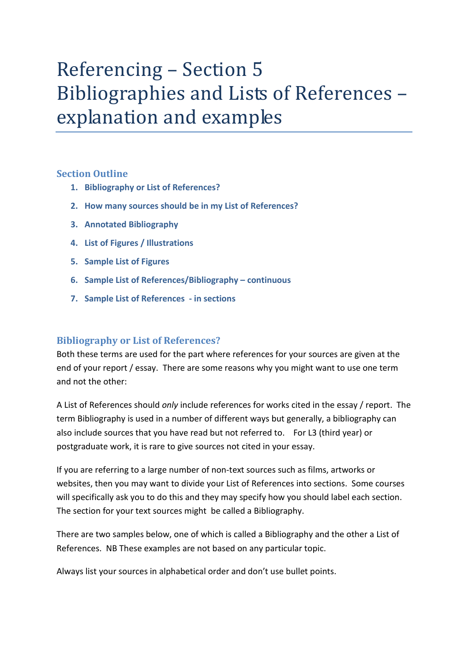# Referencing – Section 5 Bibliographies and Lists of References – explanation and examples

# **Section Outline**

- **1. [Bibliography or List of References?](#page-0-0)**
- **2. [How many sources should be in my](#page-0-1) List of References?**
- **3. [Annotated Bibliography](#page-1-0)**
- **4. [List of Figures / Illustrations](#page-1-1)**
- **5. [Sample List of Figures](#page-2-0)**
- **6. [Sample List of References/Bibliography –](#page-2-1) continuous**
- **7. [Sample List of References -](#page-3-0) in sections**

## <span id="page-0-0"></span>**Bibliography or List of References?**

Both these terms are used for the part where references for your sources are given at the end of your report / essay. There are some reasons why you might want to use one term and not the other:

A List of References should *only* include references for works cited in the essay / report. The term Bibliography is used in a number of different ways but generally, a bibliography can also include sources that you have read but not referred to. For L3 (third year) or postgraduate work, it is rare to give sources not cited in your essay.

If you are referring to a large number of non-text sources such as films, artworks or websites, then you may want to divide your List of References into sections. Some courses will specifically ask you to do this and they may specify how you should label each section. The section for your text sources might be called a Bibliography.

There are two samples below, one of which is called a Bibliography and the other a List of References. NB These examples are not based on any particular topic.

<span id="page-0-1"></span>Always list your sources in alphabetical order and don't use bullet points.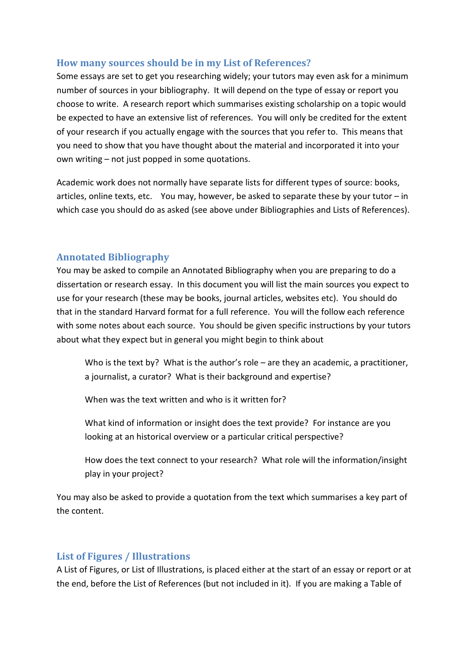# **How many sources should be in my List of References?**

Some essays are set to get you researching widely; your tutors may even ask for a minimum number of sources in your bibliography. It will depend on the type of essay or report you choose to write. A research report which summarises existing scholarship on a topic would be expected to have an extensive list of references. You will only be credited for the extent of your research if you actually engage with the sources that you refer to. This means that you need to show that you have thought about the material and incorporated it into your own writing – not just popped in some quotations.

Academic work does not normally have separate lists for different types of source: books, articles, online texts, etc. You may, however, be asked to separate these by your tutor – in which case you should do as asked (see above under Bibliographies and Lists of References).

## <span id="page-1-0"></span>**Annotated Bibliography**

You may be asked to compile an Annotated Bibliography when you are preparing to do a dissertation or research essay. In this document you will list the main sources you expect to use for your research (these may be books, journal articles, websites etc). You should do that in the standard Harvard format for a full reference. You will the follow each reference with some notes about each source. You should be given specific instructions by your tutors about what they expect but in general you might begin to think about

Who is the text by? What is the author's role – are they an academic, a practitioner, a journalist, a curator? What is their background and expertise?

When was the text written and who is it written for?

What kind of information or insight does the text provide? For instance are you looking at an historical overview or a particular critical perspective?

How does the text connect to your research? What role will the information/insight play in your project?

You may also be asked to provide a quotation from the text which summarises a key part of the content.

# <span id="page-1-1"></span>**List of Figures / Illustrations**

A List of Figures, or List of Illustrations, is placed either at the start of an essay or report or at the end, before the List of References (but not included in it). If you are making a Table of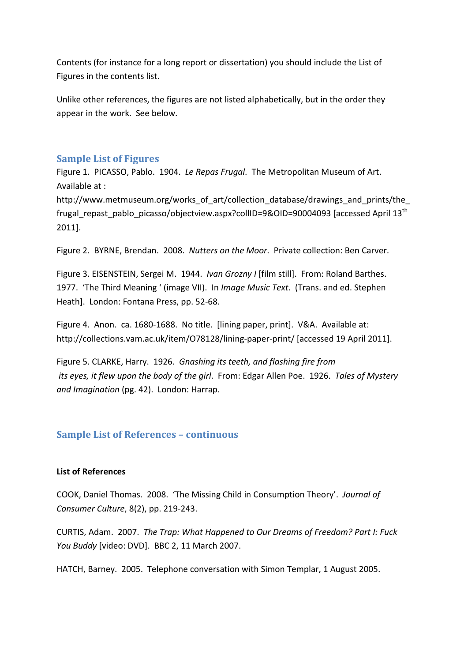Contents (for instance for a long report or dissertation) you should include the List of Figures in the contents list.

Unlike other references, the figures are not listed alphabetically, but in the order they appear in the work. See below.

## <span id="page-2-0"></span>**Sample List of Figures**

Figure 1. PICASSO, Pablo. 1904. *Le Repas Frugal*. The Metropolitan Museum of Art. Available at :

http://www.metmuseum.org/works\_of\_art/collection\_database/drawings\_and\_prints/the frugal\_repast\_pablo\_picasso/objectview.aspx?collID=9&OID=90004093 [accessed April 13th 2011].

Figure 2. BYRNE, Brendan. 2008. *Nutters on the Moor*. Private collection: Ben Carver.

Figure 3. EISENSTEIN, Sergei M. 1944. *Ivan Grozny I* [film still]. From: Roland Barthes. 1977. 'The Third Meaning ' (image VII). In *Image Music Text*. (Trans. and ed. Stephen Heath]. London: Fontana Press, pp. 52-68.

Figure 4. Anon. ca. 1680-1688. No title. [lining paper, print]. V&A. Available at: http://collections.vam.ac.uk/item/O78128/lining-paper-print/ [accessed 19 April 2011].

Figure 5. CLARKE, Harry. 1926. *Gnashing its teeth, and flashing fire from its eyes, it flew upon the body of the girl*. From: Edgar Allen Poe. 1926. *Tales of Mystery and Imagination* (pg. 42). London: Harrap.

## <span id="page-2-1"></span>**Sample List of References – continuous**

#### **List of References**

COOK, Daniel Thomas. 2008. 'The Missing Child in Consumption Theory'. *Journal of Consumer Culture*, 8(2), pp. 219-243.

CURTIS, Adam. 2007. *The Trap: What Happened to Our Dreams of Freedom? Part I: Fuck You Buddy* [video: DVD]. BBC 2, 11 March 2007.

HATCH, Barney. 2005. Telephone conversation with Simon Templar, 1 August 2005.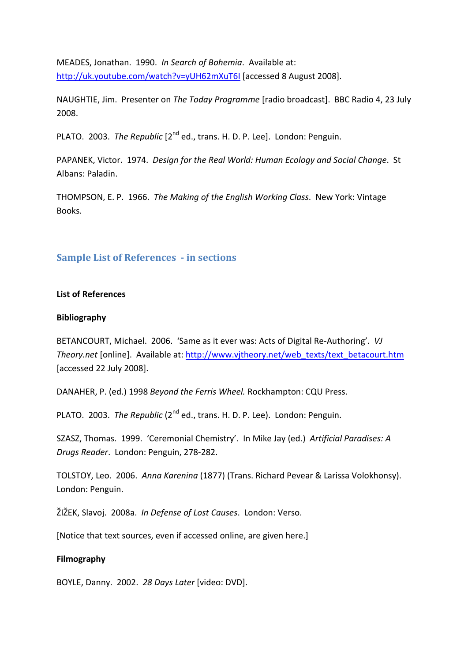MEADES, Jonathan. 1990. *In Search of Bohemia*. Available at: <http://uk.youtube.com/watch?v=yUH62mXuT6I> [accessed 8 August 2008].

NAUGHTIE, Jim. Presenter on *The Today Programme* [radio broadcast]. BBC Radio 4, 23 July 2008.

PLATO. 2003. *The Republic* [2nd ed., trans. H. D. P. Lee]. London: Penguin.

PAPANEK, Victor. 1974. *Design for the Real World: Human Ecology and Social Change*. St Albans: Paladin.

THOMPSON, E. P. 1966. *The Making of the English Working Class*. New York: Vintage Books.

## <span id="page-3-0"></span>**Sample List of References - in sections**

#### **List of References**

#### **Bibliography**

BETANCOURT, Michael. 2006. 'Same as it ever was: Acts of Digital Re-Authoring'. *VJ Theory.net* [online]. Available at: [http://www.vjtheory.net/web\\_texts/text\\_betacourt.htm](http://www.vjtheory.net/web_texts/text_betacourt.htm) [accessed 22 July 2008].

DANAHER, P. (ed.) 1998 *Beyond the Ferris Wheel.* Rockhampton: CQU Press.

PLATO. 2003. *The Republic* (2nd ed., trans. H. D. P. Lee). London: Penguin.

SZASZ, Thomas. 1999. 'Ceremonial Chemistry'. In Mike Jay (ed.) *Artificial Paradises: A Drugs Reader*. London: Penguin, 278-282.

TOLSTOY, Leo. 2006. *Anna Karenina* (1877) (Trans. Richard Pevear & Larissa Volokhonsy). London: Penguin.

ŽIŽEK, Slavoj. 2008a. *In Defense of Lost Causes*. London: Verso.

[Notice that text sources, even if accessed online, are given here.]

#### **Filmography**

BOYLE, Danny. 2002. *28 Days Later* [video: DVD].